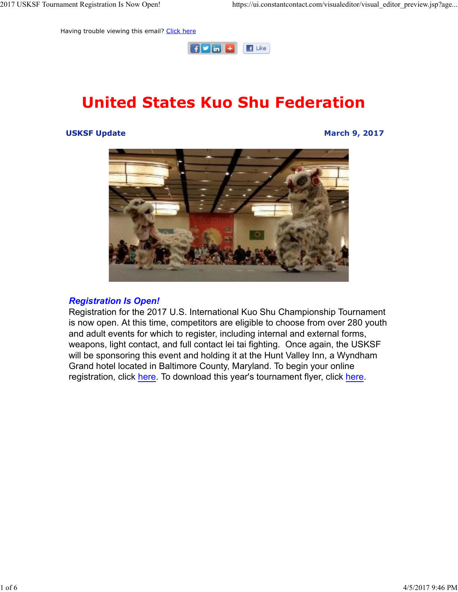Having trouble viewing this email? Click here



# United States Kuo Shu Federation

#### USKSF Update March 9, 2017



#### Registration Is Open!

Registration for the 2017 U.S. International Kuo Shu Championship Tournament is now open. At this time, competitors are eligible to choose from over 280 youth and adult events for which to register, including internal and external forms, weapons, light contact, and full contact lei tai fighting. Once again, the USKSF will be sponsoring this event and holding it at the Hunt Valley Inn, a Wyndham Grand hotel located in Baltimore County, Maryland. To begin your online registration, click here. To download this year's tournament flyer, click here.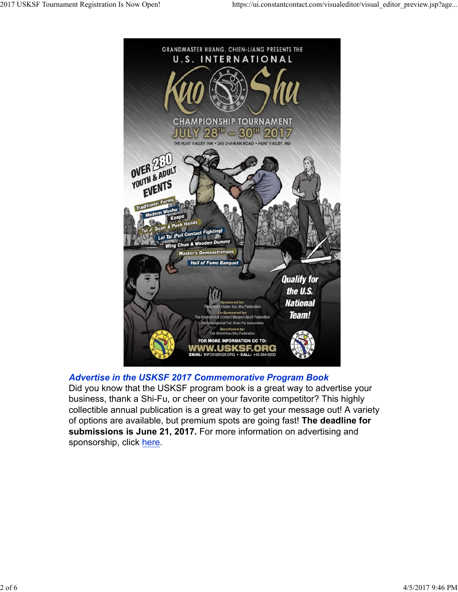

Advertise in the USKSF 2017 Commemorative Program Book

Did you know that the USKSF program book is a great way to advertise your business, thank a Shi-Fu, or cheer on your favorite competitor? This highly collectible annual publication is a great way to get your message out! A variety of options are available, but premium spots are going fast! The deadline for submissions is June 21, 2017. For more information on advertising and sponsorship, click here. business, thank a Shi-Fu, or cheer on your favorite competitor? This highly<br>collectible annual publication is a great way to get your message out A variety<br>of options are available, but premium spots are going fast! The de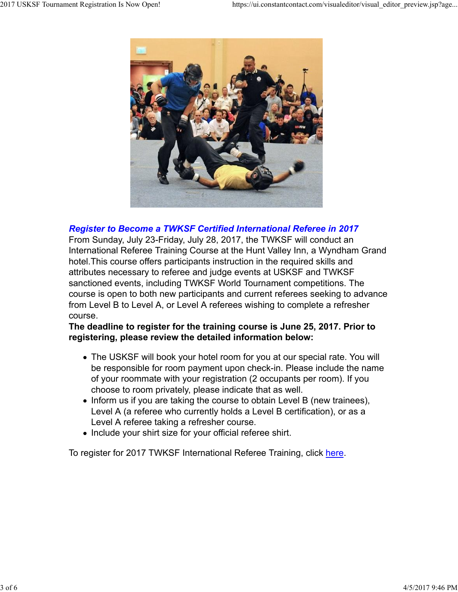

### Register to Become a TWKSF Certified International Referee in 2017

From Sunday, July 23-Friday, July 28, 2017, the TWKSF will conduct an International Referee Training Course at the Hunt Valley Inn, a Wyndham Grand hotel.This course offers participants instruction in the required skills and attributes necessary to referee and judge events at USKSF and TWKSF sanctioned events, including TWKSF World Tournament competitions. The course is open to both new participants and current referees seeking to advance from Level B to Level A, or Level A referees wishing to complete a refresher course.

### The deadline to register for the training course is June 25, 2017. Prior to registering, please review the detailed information below:

- The USKSF will book your hotel room for you at our special rate. You will be responsible for room payment upon check-in. Please include the name of your roommate with your registration (2 occupants per room). If you choose to room privately, please indicate that as well.
- Inform us if you are taking the course to obtain Level B (new trainees), Level A (a referee who currently holds a Level B certification), or as a Level A referee taking a refresher course. • Inform us if you are taking the course to obtain Level B (new trainees),<br>Level A (a referee who currently holds a Level B certification), or as a<br>Level A referee taking a refersher course.<br>
• Include your shirt size for
	- Include your shirt size for your official referee shirt.

To register for 2017 TWKSF International Referee Training, click here.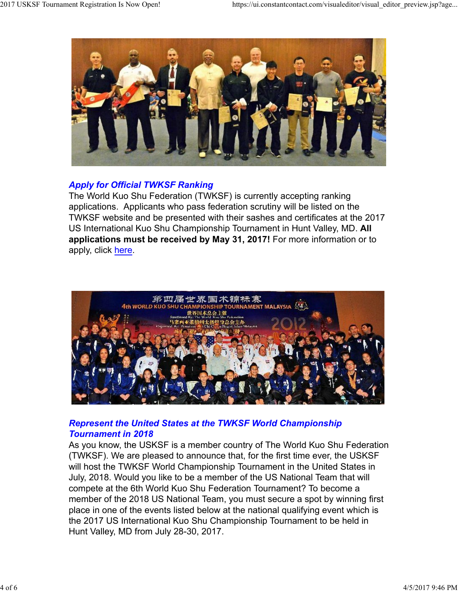

# Apply for Official TWKSF Ranking

The World Kuo Shu Federation (TWKSF) is currently accepting ranking applications. Applicants who pass federation scrutiny will be listed on the TWKSF website and be presented with their sashes and certificates at the 2017 US International Kuo Shu Championship Tournament in Hunt Valley, MD. All applications must be received by May 31, 2017! For more information or to apply, click here.



# Represent the United States at the TWKSF World Championship Tournament in 2018

As you know, the USKSF is a member country of The World Kuo Shu Federation (TWKSF). We are pleased to announce that, for the first time ever, the USKSF will host the TWKSF World Championship Tournament in the United States in July, 2018. Would you like to be a member of the US National Team that will compete at the 6th World Kuo Shu Federation Tournament? To become a member of the 2018 US National Team, you must secure a spot by winning first place in one of the events listed below at the national qualifying event which is the 2017 US International Kuo Shu Championship Tournament to be held in Hunt Valley, MD from July 28-30, 2017. Represent the United States at the TWKSF World Championship<br>Tournament in 2018<br>As you know, the USKSF is a member country of The World Kuo Shu Federation<br>(TWKSF). We are pleased to announce that, for the first time ever,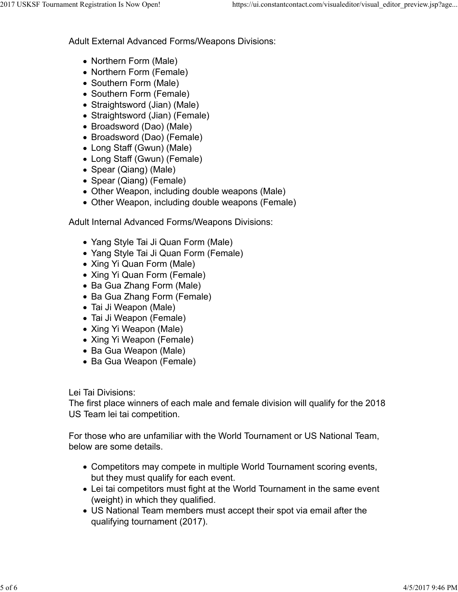Adult External Advanced Forms/Weapons Divisions: 2017 USKSF Tournament Registration Is Now Open! https://ui.constantcontact.com/visualeditor/visual\_editor\_preview.jsp?age...<br>Adult External Advanced Forms/Weapons Divisions:

- Northern Form (Male)
- Northern Form (Female)
- Southern Form (Male)
- Southern Form (Female)
- Straightsword (Jian) (Male)
- Straightsword (Jian) (Female)
- Broadsword (Dao) (Male)
- Broadsword (Dao) (Female)
- Long Staff (Gwun) (Male)
- Long Staff (Gwun) (Female)
- Spear (Qiang) (Male)
- Spear (Qiang) (Female)
- Other Weapon, including double weapons (Male)
- Other Weapon, including double weapons (Female)

Adult Internal Advanced Forms/Weapons Divisions:

- Yang Style Tai Ji Quan Form (Male)
- Yang Style Tai Ji Quan Form (Female)
- Xing Yi Quan Form (Male)
- Xing Yi Quan Form (Female)
- Ba Gua Zhang Form (Male)
- Ba Gua Zhang Form (Female)
- Tai Ji Weapon (Male)
- Tai Ji Weapon (Female)
- Xing Yi Weapon (Male)
- Xing Yi Weapon (Female)
- Ba Gua Weapon (Male)
- Ba Gua Weapon (Female)

Lei Tai Divisions:

The first place winners of each male and female division will qualify for the 2018 US Team lei tai competition. Let ran Divisions.<br>The first place winners of each male and female division will qualify for the 2018<br>US Team lei tai competition.<br>For those who are unfamiliar with the World Tournament or US National Team,<br>below are some

For those who are unfamiliar with the World Tournament or US National Team, below are some details.

- Competitors may compete in multiple World Tournament scoring events, but they must qualify for each event.
- Lei tai competitors must fight at the World Tournament in the same event (weight) in which they qualified.
- US National Team members must accept their spot via email after the qualifying tournament (2017).